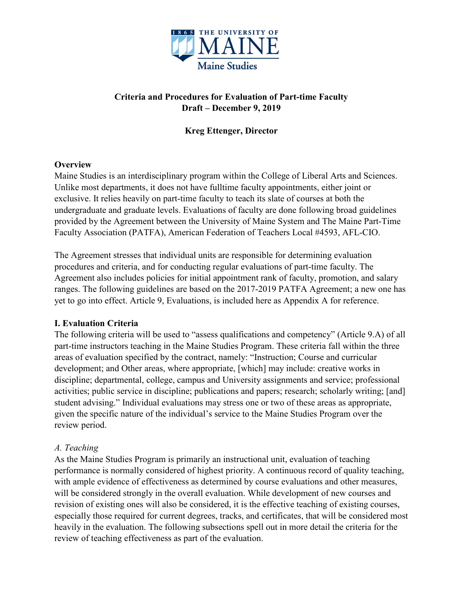

# **Criteria and Procedures for Evaluation of Part-time Faculty Draft – December 9, 2019**

# **Kreg Ettenger, Director**

## **Overview**

Maine Studies is an interdisciplinary program within the College of Liberal Arts and Sciences. Unlike most departments, it does not have fulltime faculty appointments, either joint or exclusive. It relies heavily on part-time faculty to teach its slate of courses at both the undergraduate and graduate levels. Evaluations of faculty are done following broad guidelines provided by the Agreement between the University of Maine System and The Maine Part-Time Faculty Association (PATFA), American Federation of Teachers Local #4593, AFL-CIO.

The Agreement stresses that individual units are responsible for determining evaluation procedures and criteria, and for conducting regular evaluations of part-time faculty. The Agreement also includes policies for initial appointment rank of faculty, promotion, and salary ranges. The following guidelines are based on the 2017-2019 PATFA Agreement; a new one has yet to go into effect. Article 9, Evaluations, is included here as Appendix A for reference.

## **I. Evaluation Criteria**

The following criteria will be used to "assess qualifications and competency" (Article 9.A) of all part-time instructors teaching in the Maine Studies Program. These criteria fall within the three areas of evaluation specified by the contract, namely: "Instruction; Course and curricular development; and Other areas, where appropriate, [which] may include: creative works in discipline; departmental, college, campus and University assignments and service; professional activities; public service in discipline; publications and papers; research; scholarly writing; [and] student advising." Individual evaluations may stress one or two of these areas as appropriate, given the specific nature of the individual's service to the Maine Studies Program over the review period.

## *A. Teaching*

As the Maine Studies Program is primarily an instructional unit, evaluation of teaching performance is normally considered of highest priority. A continuous record of quality teaching, with ample evidence of effectiveness as determined by course evaluations and other measures, will be considered strongly in the overall evaluation. While development of new courses and revision of existing ones will also be considered, it is the effective teaching of existing courses, especially those required for current degrees, tracks, and certificates, that will be considered most heavily in the evaluation. The following subsections spell out in more detail the criteria for the review of teaching effectiveness as part of the evaluation.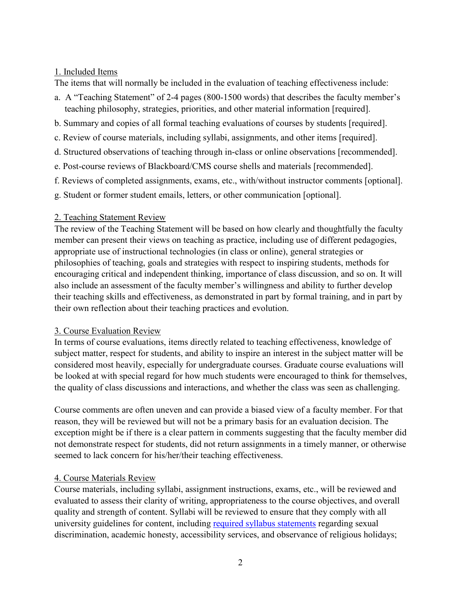#### 1. Included Items

The items that will normally be included in the evaluation of teaching effectiveness include:

- a. A "Teaching Statement" of 2-4 pages (800-1500 words) that describes the faculty member's teaching philosophy, strategies, priorities, and other material information [required].
- b. Summary and copies of all formal teaching evaluations of courses by students [required].
- c. Review of course materials, including syllabi, assignments, and other items [required].
- d. Structured observations of teaching through in-class or online observations [recommended].
- e. Post-course reviews of Blackboard/CMS course shells and materials [recommended].
- f. Reviews of completed assignments, exams, etc., with/without instructor comments [optional].
- g. Student or former student emails, letters, or other communication [optional].

## 2. Teaching Statement Review

The review of the Teaching Statement will be based on how clearly and thoughtfully the faculty member can present their views on teaching as practice, including use of different pedagogies, appropriate use of instructional technologies (in class or online), general strategies or philosophies of teaching, goals and strategies with respect to inspiring students, methods for encouraging critical and independent thinking, importance of class discussion, and so on. It will also include an assessment of the faculty member's willingness and ability to further develop their teaching skills and effectiveness, as demonstrated in part by formal training, and in part by their own reflection about their teaching practices and evolution.

## 3. Course Evaluation Review

In terms of course evaluations, items directly related to teaching effectiveness, knowledge of subject matter, respect for students, and ability to inspire an interest in the subject matter will be considered most heavily, especially for undergraduate courses. Graduate course evaluations will be looked at with special regard for how much students were encouraged to think for themselves, the quality of class discussions and interactions, and whether the class was seen as challenging.

Course comments are often uneven and can provide a biased view of a faculty member. For that reason, they will be reviewed but will not be a primary basis for an evaluation decision. The exception might be if there is a clear pattern in comments suggesting that the faculty member did not demonstrate respect for students, did not return assignments in a timely manner, or otherwise seemed to lack concern for his/her/their teaching effectiveness.

# 4. Course Materials Review

Course materials, including syllabi, assignment instructions, exams, etc., will be reviewed and evaluated to assess their clarity of writing, appropriateness to the course objectives, and overall quality and strength of content. Syllabi will be reviewed to ensure that they comply with all university guidelines for content, including [required syllabus statements](https://umaine.edu/citl/teaching-resources-2/required-syllabus-information/) regarding sexual discrimination, academic honesty, accessibility services, and observance of religious holidays;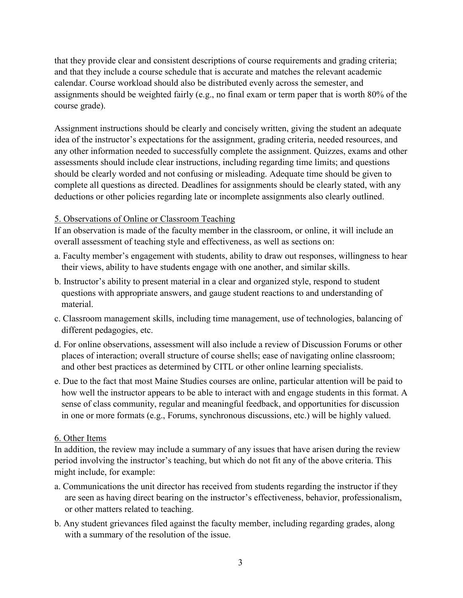that they provide clear and consistent descriptions of course requirements and grading criteria; and that they include a course schedule that is accurate and matches the relevant academic calendar. Course workload should also be distributed evenly across the semester, and assignments should be weighted fairly (e.g., no final exam or term paper that is worth 80% of the course grade).

Assignment instructions should be clearly and concisely written, giving the student an adequate idea of the instructor's expectations for the assignment, grading criteria, needed resources, and any other information needed to successfully complete the assignment. Quizzes, exams and other assessments should include clear instructions, including regarding time limits; and questions should be clearly worded and not confusing or misleading. Adequate time should be given to complete all questions as directed. Deadlines for assignments should be clearly stated, with any deductions or other policies regarding late or incomplete assignments also clearly outlined.

## 5. Observations of Online or Classroom Teaching

If an observation is made of the faculty member in the classroom, or online, it will include an overall assessment of teaching style and effectiveness, as well as sections on:

- a. Faculty member's engagement with students, ability to draw out responses, willingness to hear their views, ability to have students engage with one another, and similar skills.
- b. Instructor's ability to present material in a clear and organized style, respond to student questions with appropriate answers, and gauge student reactions to and understanding of material.
- c. Classroom management skills, including time management, use of technologies, balancing of different pedagogies, etc.
- d. For online observations, assessment will also include a review of Discussion Forums or other places of interaction; overall structure of course shells; ease of navigating online classroom; and other best practices as determined by CITL or other online learning specialists.
- e. Due to the fact that most Maine Studies courses are online, particular attention will be paid to how well the instructor appears to be able to interact with and engage students in this format. A sense of class community, regular and meaningful feedback, and opportunities for discussion in one or more formats (e.g., Forums, synchronous discussions, etc.) will be highly valued.

## 6. Other Items

In addition, the review may include a summary of any issues that have arisen during the review period involving the instructor's teaching, but which do not fit any of the above criteria. This might include, for example:

- a. Communications the unit director has received from students regarding the instructor if they are seen as having direct bearing on the instructor's effectiveness, behavior, professionalism, or other matters related to teaching.
- b. Any student grievances filed against the faculty member, including regarding grades, along with a summary of the resolution of the issue.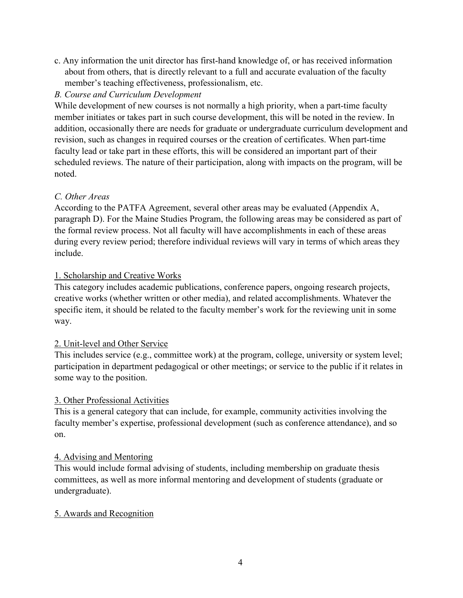- c. Any information the unit director has first-hand knowledge of, or has received information about from others, that is directly relevant to a full and accurate evaluation of the faculty member's teaching effectiveness, professionalism, etc.
- *B. Course and Curriculum Development*

While development of new courses is not normally a high priority, when a part-time faculty member initiates or takes part in such course development, this will be noted in the review. In addition, occasionally there are needs for graduate or undergraduate curriculum development and revision, such as changes in required courses or the creation of certificates. When part-time faculty lead or take part in these efforts, this will be considered an important part of their scheduled reviews. The nature of their participation, along with impacts on the program, will be noted.

## *C. Other Areas*

According to the PATFA Agreement, several other areas may be evaluated (Appendix A, paragraph D). For the Maine Studies Program, the following areas may be considered as part of the formal review process. Not all faculty will have accomplishments in each of these areas during every review period; therefore individual reviews will vary in terms of which areas they include.

## 1. Scholarship and Creative Works

This category includes academic publications, conference papers, ongoing research projects, creative works (whether written or other media), and related accomplishments. Whatever the specific item, it should be related to the faculty member's work for the reviewing unit in some way.

## 2. Unit-level and Other Service

This includes service (e.g., committee work) at the program, college, university or system level; participation in department pedagogical or other meetings; or service to the public if it relates in some way to the position.

## 3. Other Professional Activities

This is a general category that can include, for example, community activities involving the faculty member's expertise, professional development (such as conference attendance), and so on.

#### 4. Advising and Mentoring

This would include formal advising of students, including membership on graduate thesis committees, as well as more informal mentoring and development of students (graduate or undergraduate).

## 5. Awards and Recognition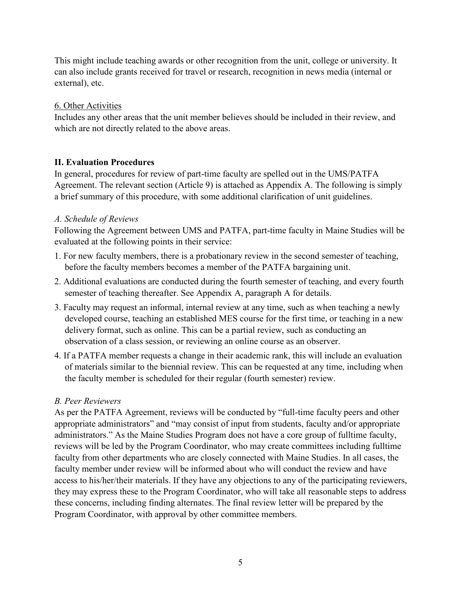This might include teaching awards or other recognition from the unit, college or university. It can also include grants received for travel or research, recognition in news media (internal or external), etc.

## 6. Other Activities

Includes any other areas that the unit member believes should be included in their review, and which are not directly related to the above areas.

# **II. Evaluation Procedures**

In general, procedures for review of part-time faculty are spelled out in the UMS/PATFA Agreement. The relevant section (Article 9) is attached as Appendix A. The following is simply a brief summary of this procedure, with some additional clarification of unit guidelines.

## *A. Schedule of Reviews*

Following the Agreement between UMS and PATFA, part-time faculty in Maine Studies will be evaluated at the following points in their service:

- 1. For new faculty members, there is a probationary review in the second semester of teaching, before the faculty members becomes a member of the PATFA bargaining unit.
- 2. Additional evaluations are conducted during the fourth semester of teaching, and every fourth semester of teaching thereafter. See Appendix A, paragraph A for details.
- 3. Faculty may request an informal, internal review at any time, such as when teaching a newly developed course, teaching an established MES course for the first time, or teaching in a new delivery format, such as online. This can be a partial review, such as conducting an observation of a class session, or reviewing an online course as an observer.
- 4. If a PATFA member requests a change in their academic rank, this will include an evaluation of materials similar to the biennial review. This can be requested at any time, including when the faculty member is scheduled for their regular (fourth semester) review.

# *B. Peer Reviewers*

As per the PATFA Agreement, reviews will be conducted by "full-time faculty peers and other appropriate administrators" and "may consist of input from students, faculty and/or appropriate administrators." As the Maine Studies Program does not have a core group of fulltime faculty, reviews will be led by the Program Coordinator, who may create committees including fulltime faculty from other departments who are closely connected with Maine Studies. In all cases, the faculty member under review will be informed about who will conduct the review and have access to his/her/their materials. If they have any objections to any of the participating reviewers, they may express these to the Program Coordinator, who will take all reasonable steps to address these concerns, including finding alternates. The final review letter will be prepared by the Program Coordinator, with approval by other committee members.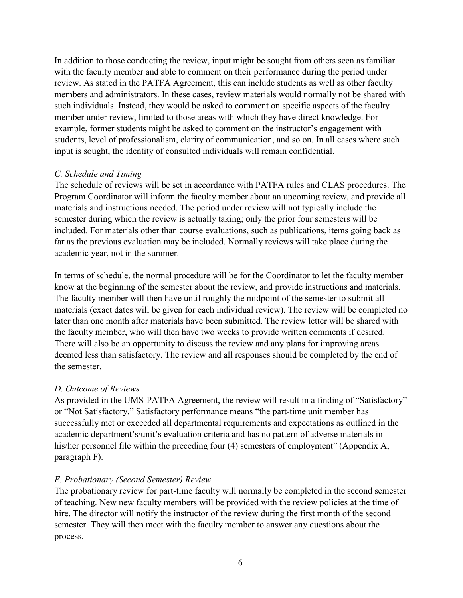In addition to those conducting the review, input might be sought from others seen as familiar with the faculty member and able to comment on their performance during the period under review. As stated in the PATFA Agreement, this can include students as well as other faculty members and administrators. In these cases, review materials would normally not be shared with such individuals. Instead, they would be asked to comment on specific aspects of the faculty member under review, limited to those areas with which they have direct knowledge. For example, former students might be asked to comment on the instructor's engagement with students, level of professionalism, clarity of communication, and so on. In all cases where such input is sought, the identity of consulted individuals will remain confidential.

#### *C. Schedule and Timing*

The schedule of reviews will be set in accordance with PATFA rules and CLAS procedures. The Program Coordinator will inform the faculty member about an upcoming review, and provide all materials and instructions needed. The period under review will not typically include the semester during which the review is actually taking; only the prior four semesters will be included. For materials other than course evaluations, such as publications, items going back as far as the previous evaluation may be included. Normally reviews will take place during the academic year, not in the summer.

In terms of schedule, the normal procedure will be for the Coordinator to let the faculty member know at the beginning of the semester about the review, and provide instructions and materials. The faculty member will then have until roughly the midpoint of the semester to submit all materials (exact dates will be given for each individual review). The review will be completed no later than one month after materials have been submitted. The review letter will be shared with the faculty member, who will then have two weeks to provide written comments if desired. There will also be an opportunity to discuss the review and any plans for improving areas deemed less than satisfactory. The review and all responses should be completed by the end of the semester.

#### *D. Outcome of Reviews*

As provided in the UMS-PATFA Agreement, the review will result in a finding of "Satisfactory" or "Not Satisfactory." Satisfactory performance means "the part-time unit member has successfully met or exceeded all departmental requirements and expectations as outlined in the academic department's/unit's evaluation criteria and has no pattern of adverse materials in his/her personnel file within the preceding four (4) semesters of employment" (Appendix A, paragraph F).

#### *E. Probationary (Second Semester) Review*

The probationary review for part-time faculty will normally be completed in the second semester of teaching. New new faculty members will be provided with the review policies at the time of hire. The director will notify the instructor of the review during the first month of the second semester. They will then meet with the faculty member to answer any questions about the process.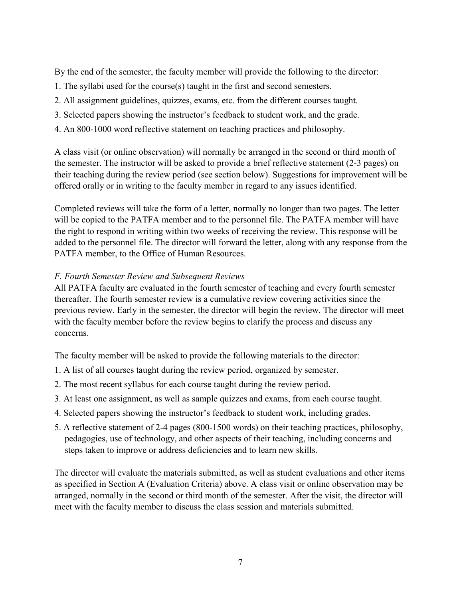By the end of the semester, the faculty member will provide the following to the director:

- 1. The syllabi used for the course(s) taught in the first and second semesters.
- 2. All assignment guidelines, quizzes, exams, etc. from the different courses taught.
- 3. Selected papers showing the instructor's feedback to student work, and the grade.
- 4. An 800-1000 word reflective statement on teaching practices and philosophy.

A class visit (or online observation) will normally be arranged in the second or third month of the semester. The instructor will be asked to provide a brief reflective statement (2-3 pages) on their teaching during the review period (see section below). Suggestions for improvement will be offered orally or in writing to the faculty member in regard to any issues identified.

Completed reviews will take the form of a letter, normally no longer than two pages. The letter will be copied to the PATFA member and to the personnel file. The PATFA member will have the right to respond in writing within two weeks of receiving the review. This response will be added to the personnel file. The director will forward the letter, along with any response from the PATFA member, to the Office of Human Resources.

# *F. Fourth Semester Review and Subsequent Reviews*

All PATFA faculty are evaluated in the fourth semester of teaching and every fourth semester thereafter. The fourth semester review is a cumulative review covering activities since the previous review. Early in the semester, the director will begin the review. The director will meet with the faculty member before the review begins to clarify the process and discuss any concerns.

The faculty member will be asked to provide the following materials to the director:

- 1. A list of all courses taught during the review period, organized by semester.
- 2. The most recent syllabus for each course taught during the review period.
- 3. At least one assignment, as well as sample quizzes and exams, from each course taught.
- 4. Selected papers showing the instructor's feedback to student work, including grades.
- 5. A reflective statement of 2-4 pages (800-1500 words) on their teaching practices, philosophy, pedagogies, use of technology, and other aspects of their teaching, including concerns and steps taken to improve or address deficiencies and to learn new skills.

The director will evaluate the materials submitted, as well as student evaluations and other items as specified in Section A (Evaluation Criteria) above. A class visit or online observation may be arranged, normally in the second or third month of the semester. After the visit, the director will meet with the faculty member to discuss the class session and materials submitted.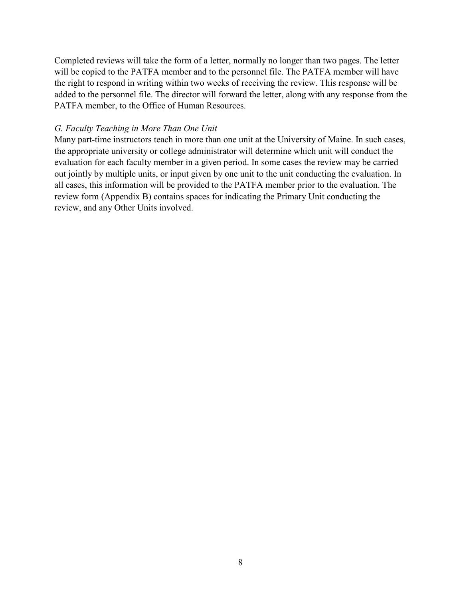Completed reviews will take the form of a letter, normally no longer than two pages. The letter will be copied to the PATFA member and to the personnel file. The PATFA member will have the right to respond in writing within two weeks of receiving the review. This response will be added to the personnel file. The director will forward the letter, along with any response from the PATFA member, to the Office of Human Resources.

#### *G. Faculty Teaching in More Than One Unit*

Many part-time instructors teach in more than one unit at the University of Maine. In such cases, the appropriate university or college administrator will determine which unit will conduct the evaluation for each faculty member in a given period. In some cases the review may be carried out jointly by multiple units, or input given by one unit to the unit conducting the evaluation. In all cases, this information will be provided to the PATFA member prior to the evaluation. The review form (Appendix B) contains spaces for indicating the Primary Unit conducting the review, and any Other Units involved.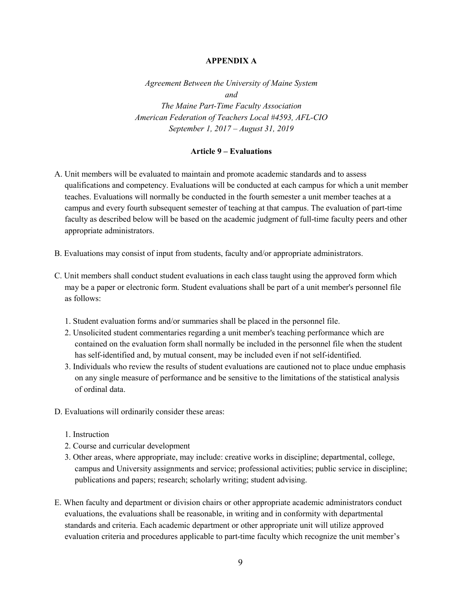#### **APPENDIX A**

*Agreement Between the University of Maine System and The Maine Part-Time Faculty Association American Federation of Teachers Local #4593, AFL-CIO September 1, 2017 – August 31, 2019*

#### **Article 9 – Evaluations**

- A. Unit members will be evaluated to maintain and promote academic standards and to assess qualifications and competency. Evaluations will be conducted at each campus for which a unit member teaches. Evaluations will normally be conducted in the fourth semester a unit member teaches at a campus and every fourth subsequent semester of teaching at that campus. The evaluation of part-time faculty as described below will be based on the academic judgment of full-time faculty peers and other appropriate administrators.
- B. Evaluations may consist of input from students, faculty and/or appropriate administrators.
- C. Unit members shall conduct student evaluations in each class taught using the approved form which may be a paper or electronic form. Student evaluations shall be part of a unit member's personnel file as follows:
	- 1. Student evaluation forms and/or summaries shall be placed in the personnel file.
	- 2. Unsolicited student commentaries regarding a unit member's teaching performance which are contained on the evaluation form shall normally be included in the personnel file when the student has self-identified and, by mutual consent, may be included even if not self-identified.
	- 3. Individuals who review the results of student evaluations are cautioned not to place undue emphasis on any single measure of performance and be sensitive to the limitations of the statistical analysis of ordinal data.
- D. Evaluations will ordinarily consider these areas:
	- 1. Instruction
	- 2. Course and curricular development
	- 3. Other areas, where appropriate, may include: creative works in discipline; departmental, college, campus and University assignments and service; professional activities; public service in discipline; publications and papers; research; scholarly writing; student advising.
- E. When faculty and department or division chairs or other appropriate academic administrators conduct evaluations, the evaluations shall be reasonable, in writing and in conformity with departmental standards and criteria. Each academic department or other appropriate unit will utilize approved evaluation criteria and procedures applicable to part-time faculty which recognize the unit member's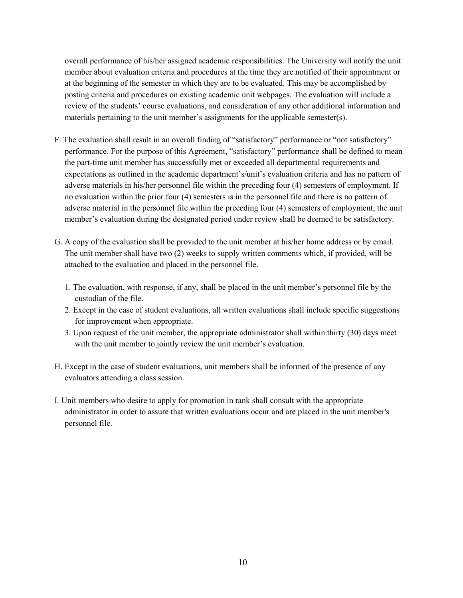overall performance of his/her assigned academic responsibilities. The University will notify the unit member about evaluation criteria and procedures at the time they are notified of their appointment or at the beginning of the semester in which they are to be evaluated. This may be accomplished by posting criteria and procedures on existing academic unit webpages. The evaluation will include a review of the students' course evaluations, and consideration of any other additional information and materials pertaining to the unit member's assignments for the applicable semester(s).

- F. The evaluation shall result in an overall finding of "satisfactory" performance or "not satisfactory" performance. For the purpose of this Agreement, "satisfactory" performance shall be defined to mean the part-time unit member has successfully met or exceeded all departmental requirements and expectations as outlined in the academic department's/unit's evaluation criteria and has no pattern of adverse materials in his/her personnel file within the preceding four (4) semesters of employment. If no evaluation within the prior four (4) semesters is in the personnel file and there is no pattern of adverse material in the personnel file within the preceding four (4) semesters of employment, the unit member's evaluation during the designated period under review shall be deemed to be satisfactory.
- G. A copy of the evaluation shall be provided to the unit member at his/her home address or by email. The unit member shall have two (2) weeks to supply written comments which, if provided, will be attached to the evaluation and placed in the personnel file.
	- 1. The evaluation, with response, if any, shall be placed in the unit member's personnel file by the custodian of the file.
	- 2. Except in the case of student evaluations, all written evaluations shall include specific suggestions for improvement when appropriate.
	- 3. Upon request of the unit member, the appropriate administrator shall within thirty (30) days meet with the unit member to jointly review the unit member's evaluation.
- H. Except in the case of student evaluations, unit members shall be informed of the presence of any evaluators attending a class session.
- I. Unit members who desire to apply for promotion in rank shall consult with the appropriate administrator in order to assure that written evaluations occur and are placed in the unit member's personnel file.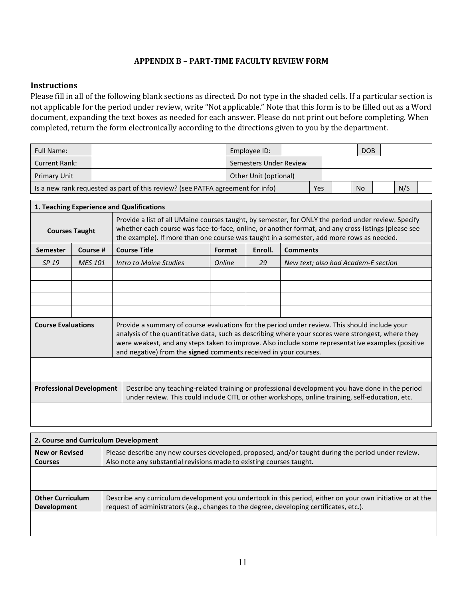#### **APPENDIX B – PART-TIME FACULTY REVIEW FORM**

#### **Instructions**

Please fill in all of the following blank sections as directed. Do not type in the shaded cells. If a particular section is not applicable for the period under review, write "Not applicable." Note that this form is to be filled out as a Word document, expanding the text boxes as needed for each answer. Please do not print out before completing. When completed, return the form electronically according to the directions given to you by the department.

| <b>Full Name:</b>                                                              |  | Employee ID:           |  |     | <b>DOB</b> |     |  |
|--------------------------------------------------------------------------------|--|------------------------|--|-----|------------|-----|--|
| Current Rank:                                                                  |  | Semesters Under Review |  |     |            |     |  |
| <b>Primary Unit</b>                                                            |  | Other Unit (optional)  |  |     |            |     |  |
| Is a new rank requested as part of this review? (see PATFA agreement for info) |  |                        |  | Yes | No.        | N/S |  |

| 1. Teaching Experience and Qualifications |                |                                                                                                                                                                                                                                                                                                                                                                              |        |         |                                     |  |  |
|-------------------------------------------|----------------|------------------------------------------------------------------------------------------------------------------------------------------------------------------------------------------------------------------------------------------------------------------------------------------------------------------------------------------------------------------------------|--------|---------|-------------------------------------|--|--|
| <b>Courses Taught</b>                     |                | Provide a list of all UMaine courses taught, by semester, for ONLY the period under review. Specify<br>whether each course was face-to-face, online, or another format, and any cross-listings (please see<br>the example). If more than one course was taught in a semester, add more rows as needed.                                                                       |        |         |                                     |  |  |
| <b>Semester</b>                           | Course #       | <b>Course Title</b>                                                                                                                                                                                                                                                                                                                                                          | Format | Enroll. | <b>Comments</b>                     |  |  |
| SP 19                                     | <b>MES 101</b> | Intro to Maine Studies                                                                                                                                                                                                                                                                                                                                                       | Online | 29      | New text; also had Academ-E section |  |  |
|                                           |                |                                                                                                                                                                                                                                                                                                                                                                              |        |         |                                     |  |  |
|                                           |                |                                                                                                                                                                                                                                                                                                                                                                              |        |         |                                     |  |  |
|                                           |                |                                                                                                                                                                                                                                                                                                                                                                              |        |         |                                     |  |  |
|                                           |                |                                                                                                                                                                                                                                                                                                                                                                              |        |         |                                     |  |  |
| <b>Course Evaluations</b>                 |                | Provide a summary of course evaluations for the period under review. This should include your<br>analysis of the quantitative data, such as describing where your scores were strongest, where they<br>were weakest, and any steps taken to improve. Also include some representative examples (positive<br>and negative) from the signed comments received in your courses. |        |         |                                     |  |  |
|                                           |                |                                                                                                                                                                                                                                                                                                                                                                              |        |         |                                     |  |  |
| <b>Professional Development</b>           |                | Describe any teaching-related training or professional development you have done in the period<br>under review. This could include CITL or other workshops, online training, self-education, etc.                                                                                                                                                                            |        |         |                                     |  |  |
|                                           |                |                                                                                                                                                                                                                                                                                                                                                                              |        |         |                                     |  |  |

| 2. Course and Curriculum Development          |                                                                                                                                                                                                      |  |  |  |
|-----------------------------------------------|------------------------------------------------------------------------------------------------------------------------------------------------------------------------------------------------------|--|--|--|
| <b>New or Revised</b><br><b>Courses</b>       | Please describe any new courses developed, proposed, and/or taught during the period under review.<br>Also note any substantial revisions made to existing courses taught.                           |  |  |  |
|                                               |                                                                                                                                                                                                      |  |  |  |
| <b>Other Curriculum</b><br><b>Development</b> | Describe any curriculum development you undertook in this period, either on your own initiative or at the<br>request of administrators (e.g., changes to the degree, developing certificates, etc.). |  |  |  |
|                                               |                                                                                                                                                                                                      |  |  |  |